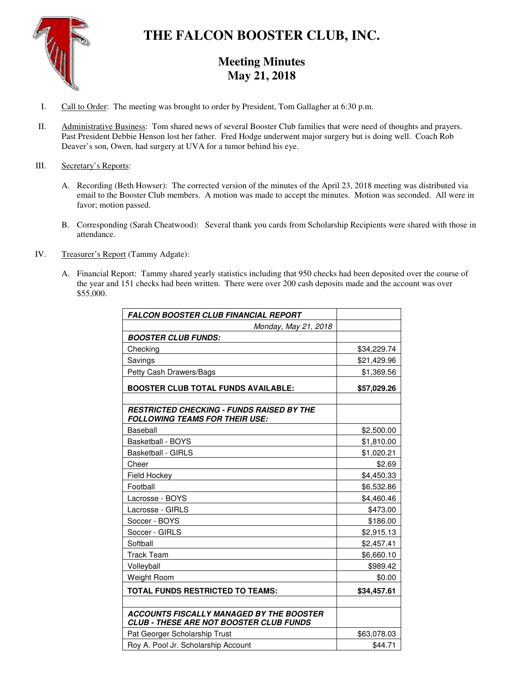

# **THE FALCON BOOSTER CLUB, INC.**

## **Meeting Minutes May 21, 2018**

- I. Call to Order: The meeting was brought to order by President, Tom Gallagher at 6:30 p.m.
- II. Administrative Business: Tom shared news of several Booster Club families that were need of thoughts and prayers. Past President Debbie Henson lost her father. Fred Hodge underwent major surgery but is doing well. Coach Rob Deaver's son, Owen, had surgery at UVA for a tumor behind his eye.

### III. Secretary's Reports:

- A. Recording (Beth Howser): The corrected version of the minutes of the April 23, 2018 meeting was distributed via email to the Booster Club members. A motion was made to accept the minutes. Motion was seconded. All were in favor; motion passed.
- B. Corresponding (Sarah Cheatwood): Several thank you cards from Scholarship Recipients were shared with those in attendance.
- IV. Treasurer's Report (Tammy Adgate):
	- A. Financial Report: Tammy shared yearly statistics including that 950 checks had been deposited over the course of the year and 151 checks had been written. There were over 200 cash deposits made and the account was over \$55,000.

| <b>FALCON BOOSTER CLUB FINANCIAL REPORT</b>                                                       |             |
|---------------------------------------------------------------------------------------------------|-------------|
| Monday, May 21, 2018                                                                              |             |
| <b>BOOSTER CLUB FUNDS:</b>                                                                        |             |
| Checking                                                                                          | \$34,229.74 |
| Savings                                                                                           | \$21,429.96 |
| Petty Cash Drawers/Bags                                                                           | \$1,369.56  |
| <b>BOOSTER CLUB TOTAL FUNDS AVAILABLE:</b>                                                        | \$57,029.26 |
| <b>RESTRICTED CHECKING - FUNDS RAISED BY THE</b><br><b>FOLLOWING TEAMS FOR THEIR USE:</b>         |             |
| Baseball                                                                                          | \$2,500.00  |
| Basketball - BOYS                                                                                 | \$1,810.00  |
| <b>Basketball - GIRLS</b>                                                                         | \$1,020.21  |
| Cheer                                                                                             | \$2.69      |
| Field Hockey                                                                                      | \$4,450.33  |
| Football                                                                                          | \$6,532.86  |
| Lacrosse - BOYS                                                                                   | \$4,460.46  |
| Lacrosse - GIRLS                                                                                  | \$473.00    |
| Soccer - BOYS                                                                                     | \$186.00    |
| Soccer - GIRLS                                                                                    | \$2,915.13  |
| Softball                                                                                          | \$2,457.41  |
| <b>Track Team</b>                                                                                 | \$6,660.10  |
| Volleyball                                                                                        | \$989.42    |
| Weight Room                                                                                       | \$0.00      |
| <b>TOTAL FUNDS RESTRICTED TO TEAMS:</b>                                                           | \$34,457.61 |
|                                                                                                   |             |
| <b>ACCOUNTS FISCALLY MANAGED BY THE BOOSTER</b><br><b>CLUB - THESE ARE NOT BOOSTER CLUB FUNDS</b> |             |
| Pat Georger Scholarship Trust                                                                     | \$63,078.03 |
| Roy A. Pool Jr. Scholarship Account                                                               | \$44.71     |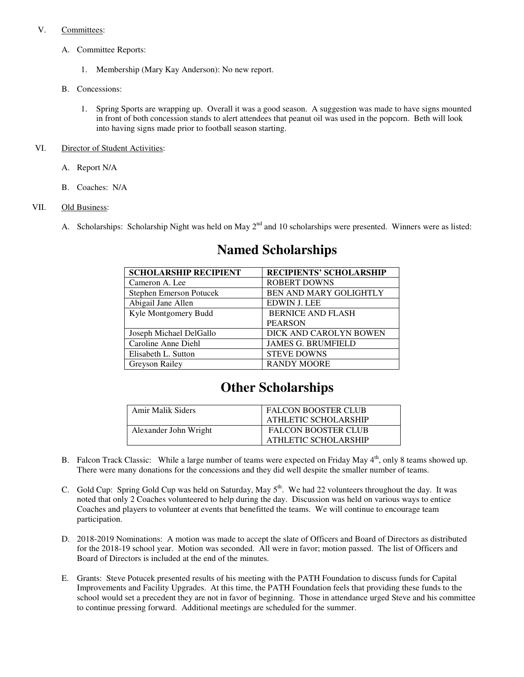### V. Committees:

- A. Committee Reports:
	- 1. Membership (Mary Kay Anderson): No new report.
- B. Concessions:
	- 1. Spring Sports are wrapping up. Overall it was a good season. A suggestion was made to have signs mounted in front of both concession stands to alert attendees that peanut oil was used in the popcorn. Beth will look into having signs made prior to football season starting.

#### VI. Director of Student Activities:

- A. Report N/A
- B. Coaches: N/A

### VII. Old Business:

A. Scholarships: Scholarship Night was held on May  $2^{nd}$  and 10 scholarships were presented. Winners were as listed:

| <b>SCHOLARSHIP RECIPIENT</b> | <b>RECIPIENTS' SCHOLARSHIP</b> |
|------------------------------|--------------------------------|
| Cameron A. Lee               | <b>ROBERT DOWNS</b>            |
| Stephen Emerson Potucek      | BEN AND MARY GOLIGHTLY         |
| Abigail Jane Allen           | <b>EDWIN J. LEE</b>            |
| Kyle Montgomery Budd         | <b>BERNICE AND FLASH</b>       |
|                              | <b>PEARSON</b>                 |
| Joseph Michael DelGallo      | DICK AND CAROLYN BOWEN         |
| Caroline Anne Diehl          | <b>JAMES G. BRUMFIELD</b>      |
| Elisabeth L. Sutton          | <b>STEVE DOWNS</b>             |
| Greyson Railey               | <b>RANDY MOORE</b>             |

## **Named Scholarships**

## **Other Scholarships**

| Amir Malik Siders     | <b>FALCON BOOSTER CLUB</b><br>ATHLETIC SCHOLARSHIP |
|-----------------------|----------------------------------------------------|
| Alexander John Wright | <b>FALCON BOOSTER CLUB</b><br>ATHLETIC SCHOLARSHIP |

- B. Falcon Track Classic: While a large number of teams were expected on Friday May 4<sup>th</sup>, only 8 teams showed up. There were many donations for the concessions and they did well despite the smaller number of teams.
- C. Gold Cup: Spring Gold Cup was held on Saturday, May 5<sup>th</sup>. We had 22 volunteers throughout the day. It was noted that only 2 Coaches volunteered to help during the day. Discussion was held on various ways to entice Coaches and players to volunteer at events that benefitted the teams. We will continue to encourage team participation.
- D. 2018-2019 Nominations: A motion was made to accept the slate of Officers and Board of Directors as distributed for the 2018-19 school year. Motion was seconded. All were in favor; motion passed. The list of Officers and Board of Directors is included at the end of the minutes.
- E. Grants: Steve Potucek presented results of his meeting with the PATH Foundation to discuss funds for Capital Improvements and Facility Upgrades. At this time, the PATH Foundation feels that providing these funds to the school would set a precedent they are not in favor of beginning. Those in attendance urged Steve and his committee to continue pressing forward. Additional meetings are scheduled for the summer.